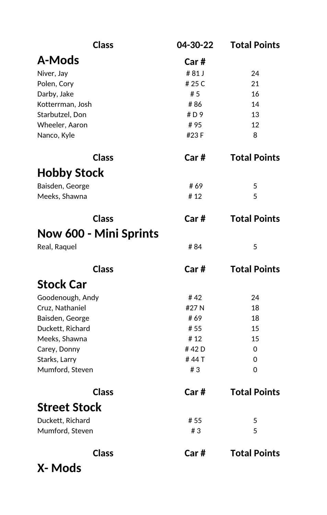| <b>Class</b>                  | 04-30-22 | <b>Total Points</b> |
|-------------------------------|----------|---------------------|
| A-Mods                        | Car#     |                     |
| Niver, Jay                    | #81J     | 24                  |
| Polen, Cory                   | #25C     | 21                  |
| Darby, Jake                   | #5       | 16                  |
| Kotterrman, Josh              | #86      | 14                  |
| Starbutzel, Don               | #D9      | 13                  |
| Wheeler, Aaron                | #95      | 12                  |
| Nanco, Kyle                   | #23F     | 8                   |
| <b>Class</b>                  | Car#     | <b>Total Points</b> |
| <b>Hobby Stock</b>            |          |                     |
| Baisden, George               | #69      | 5                   |
| Meeks, Shawna                 | #12      | 5                   |
| <b>Class</b>                  | Car#     | <b>Total Points</b> |
| <b>Now 600 - Mini Sprints</b> |          |                     |
| Real, Raquel                  | #84      | 5                   |
| <b>Class</b>                  | Car#     | <b>Total Points</b> |
| <b>Stock Car</b>              |          |                     |
| Goodenough, Andy              | #42      | 24                  |
| Cruz, Nathaniel               | #27 N    | 18                  |
| Baisden, George               | #69      | 18                  |
| Duckett, Richard              | # 55     | 15                  |
| Meeks, Shawna                 | # 12     | 15                  |
| Carey, Donny                  | #42D     | 0                   |
| Starks, Larry                 | # 44 T   | 0                   |
| Mumford, Steven               | #3       | 0                   |
| <b>Class</b>                  | Car#     | <b>Total Points</b> |
| <b>Street Stock</b>           |          |                     |
| Duckett, Richard              | # 55     | 5                   |
| Mumford, Steven               | #3       | 5                   |
| <b>Class</b>                  | Car#     | <b>Total Points</b> |
| X- Mods                       |          |                     |